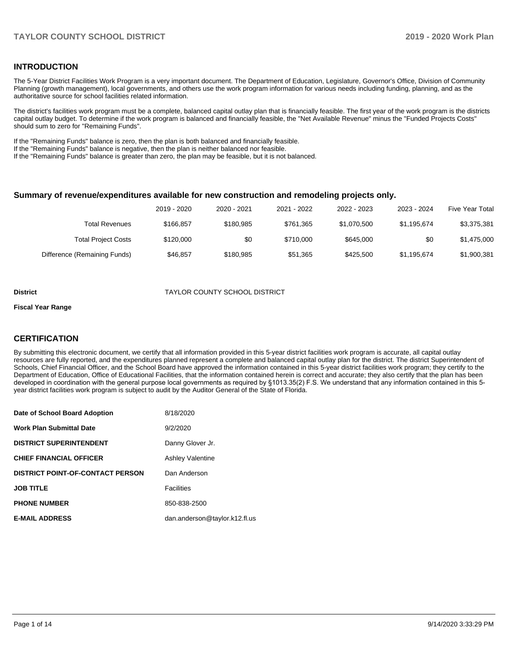### **INTRODUCTION**

The 5-Year District Facilities Work Program is a very important document. The Department of Education, Legislature, Governor's Office, Division of Community Planning (growth management), local governments, and others use the work program information for various needs including funding, planning, and as the authoritative source for school facilities related information.

The district's facilities work program must be a complete, balanced capital outlay plan that is financially feasible. The first year of the work program is the districts capital outlay budget. To determine if the work program is balanced and financially feasible, the "Net Available Revenue" minus the "Funded Projects Costs" should sum to zero for "Remaining Funds".

If the "Remaining Funds" balance is zero, then the plan is both balanced and financially feasible.

If the "Remaining Funds" balance is negative, then the plan is neither balanced nor feasible.

If the "Remaining Funds" balance is greater than zero, the plan may be feasible, but it is not balanced.

#### **Summary of revenue/expenditures available for new construction and remodeling projects only.**

| <b>Five Year Total</b> | 2023 - 2024 | 2022 - 2023 | 2021 - 2022 | 2020 - 2021 | 2019 - 2020 |                              |
|------------------------|-------------|-------------|-------------|-------------|-------------|------------------------------|
| \$3,375,381            | \$1,195,674 | \$1,070,500 | \$761.365   | \$180.985   | \$166.857   | Total Revenues               |
| \$1,475,000            | \$0         | \$645,000   | \$710,000   | \$0         | \$120,000   | <b>Total Project Costs</b>   |
| \$1,900,381            | \$1,195,674 | \$425.500   | \$51,365    | \$180.985   | \$46.857    | Difference (Remaining Funds) |

#### **District District TAYLOR COUNTY SCHOOL DISTRICT**

#### **Fiscal Year Range**

### **CERTIFICATION**

By submitting this electronic document, we certify that all information provided in this 5-year district facilities work program is accurate, all capital outlay resources are fully reported, and the expenditures planned represent a complete and balanced capital outlay plan for the district. The district Superintendent of Schools, Chief Financial Officer, and the School Board have approved the information contained in this 5-year district facilities work program; they certify to the Department of Education, Office of Educational Facilities, that the information contained herein is correct and accurate; they also certify that the plan has been developed in coordination with the general purpose local governments as required by §1013.35(2) F.S. We understand that any information contained in this 5 year district facilities work program is subject to audit by the Auditor General of the State of Florida.

| Date of School Board Adoption           | 8/18/2020                     |
|-----------------------------------------|-------------------------------|
| <b>Work Plan Submittal Date</b>         | 9/2/2020                      |
| <b>DISTRICT SUPERINTENDENT</b>          | Danny Glover Jr.              |
| <b>CHIEF FINANCIAL OFFICER</b>          | <b>Ashley Valentine</b>       |
| <b>DISTRICT POINT-OF-CONTACT PERSON</b> | Dan Anderson                  |
| <b>JOB TITLE</b>                        | <b>Facilities</b>             |
| <b>PHONE NUMBER</b>                     | 850-838-2500                  |
| <b>E-MAIL ADDRESS</b>                   | dan.anderson@taylor.k12.fl.us |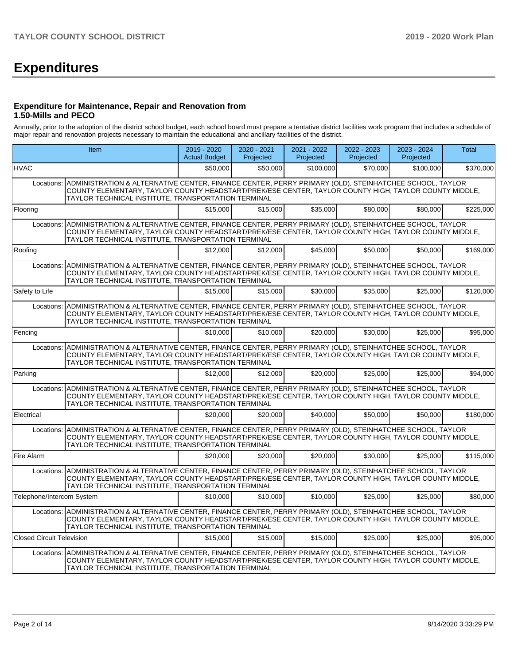# **Expenditures**

#### **Expenditure for Maintenance, Repair and Renovation from 1.50-Mills and PECO**

Annually, prior to the adoption of the district school budget, each school board must prepare a tentative district facilities work program that includes a schedule of major repair and renovation projects necessary to maintain the educational and ancillary facilities of the district.

|                                                                                                                                                                                                                                                                                  | <b>Item</b>                                                                                                                                                                                                                                                                      | $2019 - 2020$<br><b>Actual Budget</b> | 2020 - 2021<br>Projected | $2021 - 2022$<br>Projected | $2022 - 2023$<br>Projected | $2023 - 2024$<br>Projected | <b>Total</b> |  |  |  |
|----------------------------------------------------------------------------------------------------------------------------------------------------------------------------------------------------------------------------------------------------------------------------------|----------------------------------------------------------------------------------------------------------------------------------------------------------------------------------------------------------------------------------------------------------------------------------|---------------------------------------|--------------------------|----------------------------|----------------------------|----------------------------|--------------|--|--|--|
| <b>HVAC</b>                                                                                                                                                                                                                                                                      |                                                                                                                                                                                                                                                                                  | \$50,000                              | \$50,000                 | \$100,000                  | \$70,000                   | \$100,000                  | \$370,000    |  |  |  |
|                                                                                                                                                                                                                                                                                  | Locations: ADMINISTRATION & ALTERNATIVE CENTER, FINANCE CENTER, PERRY PRIMARY (OLD), STEINHATCHEE SCHOOL, TAYLOR<br>COUNTY ELEMENTARY, TAYLOR COUNTY HEADSTART/PREK/ESE CENTER, TAYLOR COUNTY HIGH, TAYLOR COUNTY MIDDLE,<br>TAYLOR TECHNICAL INSTITUTE, TRANSPORTATION TERMINAL |                                       |                          |                            |                            |                            |              |  |  |  |
| Flooring                                                                                                                                                                                                                                                                         |                                                                                                                                                                                                                                                                                  | \$15,000                              | \$15,000                 | \$35,000                   | \$80,000                   | \$80,000                   | \$225,000    |  |  |  |
|                                                                                                                                                                                                                                                                                  | Locations: ADMINISTRATION & ALTERNATIVE CENTER, FINANCE CENTER, PERRY PRIMARY (OLD), STEINHATCHEE SCHOOL, TAYLOR<br>COUNTY ELEMENTARY, TAYLOR COUNTY HEADSTART/PREK/ESE CENTER, TAYLOR COUNTY HIGH, TAYLOR COUNTY MIDDLE,<br>TAYLOR TECHNICAL INSTITUTE, TRANSPORTATION TERMINAL |                                       |                          |                            |                            |                            |              |  |  |  |
| Roofing                                                                                                                                                                                                                                                                          |                                                                                                                                                                                                                                                                                  | \$12,000                              | \$12,000                 | \$45,000                   | \$50,000                   | \$50,000                   | \$169,000    |  |  |  |
|                                                                                                                                                                                                                                                                                  | Locations: ADMINISTRATION & ALTERNATIVE CENTER, FINANCE CENTER, PERRY PRIMARY (OLD), STEINHATCHEE SCHOOL, TAYLOR<br>COUNTY ELEMENTARY, TAYLOR COUNTY HEADSTART/PREK/ESE CENTER, TAYLOR COUNTY HIGH, TAYLOR COUNTY MIDDLE,<br>TAYLOR TECHNICAL INSTITUTE, TRANSPORTATION TERMINAL |                                       |                          |                            |                            |                            |              |  |  |  |
| Safety to Life                                                                                                                                                                                                                                                                   |                                                                                                                                                                                                                                                                                  | \$15,000                              | \$15,000                 | \$30,000                   | \$35,000                   | \$25,000                   | \$120,000    |  |  |  |
| Locations: ADMINISTRATION & ALTERNATIVE CENTER, FINANCE CENTER, PERRY PRIMARY (OLD), STEINHATCHEE SCHOOL, TAYLOR<br>COUNTY ELEMENTARY, TAYLOR COUNTY HEADSTART/PREK/ESE CENTER, TAYLOR COUNTY HIGH, TAYLOR COUNTY MIDDLE,<br>TAYLOR TECHNICAL INSTITUTE, TRANSPORTATION TERMINAL |                                                                                                                                                                                                                                                                                  |                                       |                          |                            |                            |                            |              |  |  |  |
| Fencing                                                                                                                                                                                                                                                                          |                                                                                                                                                                                                                                                                                  | \$10,000                              | \$10,000                 | \$20,000                   | \$30,000                   | \$25,000                   | \$95,000     |  |  |  |
|                                                                                                                                                                                                                                                                                  | Locations: ADMINISTRATION & ALTERNATIVE CENTER, FINANCE CENTER, PERRY PRIMARY (OLD), STEINHATCHEE SCHOOL, TAYLOR<br>COUNTY ELEMENTARY, TAYLOR COUNTY HEADSTART/PREK/ESE CENTER, TAYLOR COUNTY HIGH, TAYLOR COUNTY MIDDLE,<br>TAYLOR TECHNICAL INSTITUTE, TRANSPORTATION TERMINAL |                                       |                          |                            |                            |                            |              |  |  |  |
| Parking                                                                                                                                                                                                                                                                          |                                                                                                                                                                                                                                                                                  | \$12,000                              | \$12,000                 | \$20,000                   | \$25,000                   | \$25,000                   | \$94.000     |  |  |  |
| Locations:                                                                                                                                                                                                                                                                       | ADMINISTRATION & ALTERNATIVE CENTER, FINANCE CENTER, PERRY PRIMARY (OLD), STEINHATCHEE SCHOOL, TAYLOR<br>COUNTY ELEMENTARY, TAYLOR COUNTY HEADSTART/PREK/ESE CENTER, TAYLOR COUNTY HIGH, TAYLOR COUNTY MIDDLE,<br>TAYLOR TECHNICAL INSTITUTE, TRANSPORTATION TERMINAL            |                                       |                          |                            |                            |                            |              |  |  |  |
| Electrical                                                                                                                                                                                                                                                                       |                                                                                                                                                                                                                                                                                  | \$20,000                              | \$20,000                 | \$40,000                   | \$50,000                   | \$50,000                   | \$180,000    |  |  |  |
| Locations:                                                                                                                                                                                                                                                                       | ADMINISTRATION & ALTERNATIVE CENTER, FINANCE CENTER, PERRY PRIMARY (OLD), STEINHATCHEE SCHOOL, TAYLOR<br>COUNTY ELEMENTARY, TAYLOR COUNTY HEADSTART/PREK/ESE CENTER, TAYLOR COUNTY HIGH, TAYLOR COUNTY MIDDLE,<br>TAYLOR TECHNICAL INSTITUTE, TRANSPORTATION TERMINAL            |                                       |                          |                            |                            |                            |              |  |  |  |
| Fire Alarm                                                                                                                                                                                                                                                                       |                                                                                                                                                                                                                                                                                  | \$20,000                              | \$20,000                 | \$20,000                   | \$30,000                   | \$25,000                   | \$115,000    |  |  |  |
|                                                                                                                                                                                                                                                                                  | Locations: ADMINISTRATION & ALTERNATIVE CENTER, FINANCE CENTER, PERRY PRIMARY (OLD), STEINHATCHEE SCHOOL, TAYLOR<br>COUNTY ELEMENTARY, TAYLOR COUNTY HEADSTART/PREK/ESE CENTER, TAYLOR COUNTY HIGH, TAYLOR COUNTY MIDDLE,<br>TAYLOR TECHNICAL INSTITUTE, TRANSPORTATION TERMINAL |                                       |                          |                            |                            |                            |              |  |  |  |
| Telephone/Intercom System                                                                                                                                                                                                                                                        |                                                                                                                                                                                                                                                                                  | \$10,000                              | \$10,000                 | \$10,000                   | \$25,000                   | \$25,000                   | \$80,000     |  |  |  |
|                                                                                                                                                                                                                                                                                  | Locations: ADMINISTRATION & ALTERNATIVE CENTER, FINANCE CENTER, PERRY PRIMARY (OLD), STEINHATCHEE SCHOOL, TAYLOR<br>COUNTY ELEMENTARY, TAYLOR COUNTY HEADSTART/PREK/ESE CENTER, TAYLOR COUNTY HIGH, TAYLOR COUNTY MIDDLE,<br>TAYLOR TECHNICAL INSTITUTE, TRANSPORTATION TERMINAL |                                       |                          |                            |                            |                            |              |  |  |  |
| <b>Closed Circuit Television</b>                                                                                                                                                                                                                                                 |                                                                                                                                                                                                                                                                                  | \$15,000                              | \$15,000                 | \$15,000                   | \$25,000                   | \$25,000                   | \$95,000     |  |  |  |
|                                                                                                                                                                                                                                                                                  | Locations: ADMINISTRATION & ALTERNATIVE CENTER, FINANCE CENTER, PERRY PRIMARY (OLD), STEINHATCHEE SCHOOL, TAYLOR<br>COUNTY ELEMENTARY, TAYLOR COUNTY HEADSTART/PREK/ESE CENTER, TAYLOR COUNTY HIGH, TAYLOR COUNTY MIDDLE,<br>TAYLOR TECHNICAL INSTITUTE, TRANSPORTATION TERMINAL |                                       |                          |                            |                            |                            |              |  |  |  |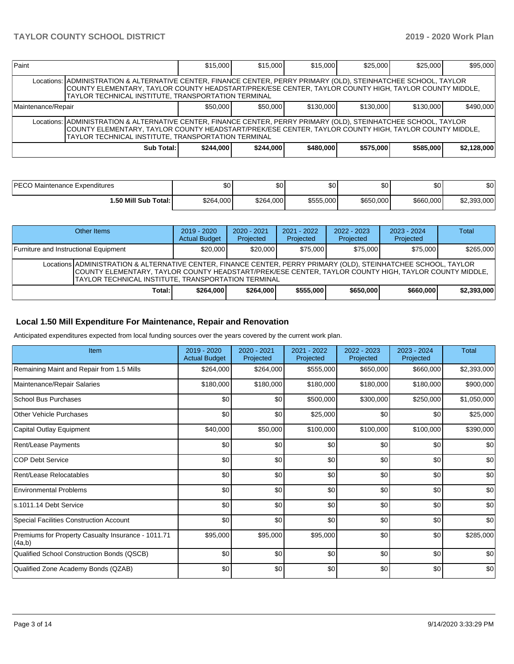| Paint                                                                                                                                                                                                                                                                              |                                                                                                                                                                                                                                                                                    | \$15,000  | \$15,000  | \$15,000  | \$25,000  | \$25,000  | \$95,000    |  |  |  |
|------------------------------------------------------------------------------------------------------------------------------------------------------------------------------------------------------------------------------------------------------------------------------------|------------------------------------------------------------------------------------------------------------------------------------------------------------------------------------------------------------------------------------------------------------------------------------|-----------|-----------|-----------|-----------|-----------|-------------|--|--|--|
|                                                                                                                                                                                                                                                                                    | Locations:   ADMINISTRATION & ALTERNATIVE CENTER, FINANCE CENTER, PERRY PRIMARY (OLD), STEINHATCHEE SCHOOL, TAYLOR<br>COUNTY ELEMENTARY, TAYLOR COUNTY HEADSTART/PREK/ESE CENTER, TAYLOR COUNTY HIGH, TAYLOR COUNTY MIDDLE,<br>TAYLOR TECHNICAL INSTITUTE, TRANSPORTATION TERMINAL |           |           |           |           |           |             |  |  |  |
| \$50,000<br>\$50,000<br>\$130,000<br>\$130,000<br>Maintenance/Repair                                                                                                                                                                                                               |                                                                                                                                                                                                                                                                                    |           |           |           |           | \$130,000 | \$490,000   |  |  |  |
| Locations:   ADMINISTRATION & ALTERNATIVE CENTER, FINANCE CENTER, PERRY PRIMARY (OLD), STEINHATCHEE SCHOOL, TAYLOR<br>COUNTY ELEMENTARY, TAYLOR COUNTY HEADSTART/PREK/ESE CENTER, TAYLOR COUNTY HIGH, TAYLOR COUNTY MIDDLE,<br>TAYLOR TECHNICAL INSTITUTE, TRANSPORTATION TERMINAL |                                                                                                                                                                                                                                                                                    |           |           |           |           |           |             |  |  |  |
|                                                                                                                                                                                                                                                                                    | Sub Total:                                                                                                                                                                                                                                                                         | \$244,000 | \$244,000 | \$480,000 | \$575.000 | \$585,000 | \$2.128.000 |  |  |  |

| IPECO.<br>Maintenance Expenditures | \$0       | \$0       | ΦΩ<br>ΦU  | \$0       | ¢∩<br>טע  | \$0         |
|------------------------------------|-----------|-----------|-----------|-----------|-----------|-------------|
| ا:50 Mill Sub Total.               | \$264,000 | \$264,000 | \$555,000 | \$650,000 | \$660,000 | \$2.393.000 |

| Other Items                                                                                                                                                                                                                                                                             | $2019 - 2020$<br><b>Actual Budget</b> | $2020 - 2021$<br>Projected | $2021 - 2022$<br>Projected | $2022 - 2023$<br>Projected | $2023 - 2024$<br>Projected | <b>Total</b> |  |  |  |
|-----------------------------------------------------------------------------------------------------------------------------------------------------------------------------------------------------------------------------------------------------------------------------------------|---------------------------------------|----------------------------|----------------------------|----------------------------|----------------------------|--------------|--|--|--|
| Furniture and Instructional Equipment                                                                                                                                                                                                                                                   | \$20,000                              | \$20,000                   | \$75,000                   | \$75,000                   | \$75,000                   | \$265,000    |  |  |  |
| Locations ADMINISTRATION & ALTERNATIVE CENTER, FINANCE CENTER, PERRY PRIMARY (OLD), STEINHATCHEE SCHOOL, TAYLOR<br>COUNTY ELEMENTARY, TAYLOR COUNTY HEADSTART/PREK/ESE CENTER, TAYLOR COUNTY HIGH, TAYLOR COUNTY MIDDLE,<br><b>ITAYLOR TECHNICAL INSTITUTE, TRANSPORTATION TERMINAL</b> |                                       |                            |                            |                            |                            |              |  |  |  |
| Total: I                                                                                                                                                                                                                                                                                | \$264,000                             | \$264,000                  | \$555,000                  | \$650,000                  | \$660,000                  | \$2.393.000  |  |  |  |

### **Local 1.50 Mill Expenditure For Maintenance, Repair and Renovation**

Anticipated expenditures expected from local funding sources over the years covered by the current work plan.

| Item                                                         | $2019 - 2020$<br><b>Actual Budget</b> | 2020 - 2021<br>Projected | $2021 - 2022$<br>Projected | 2022 - 2023<br>Projected | 2023 - 2024<br>Projected | <b>Total</b> |
|--------------------------------------------------------------|---------------------------------------|--------------------------|----------------------------|--------------------------|--------------------------|--------------|
| Remaining Maint and Repair from 1.5 Mills                    | \$264,000                             | \$264,000                | \$555,000                  | \$650,000                | \$660,000                | \$2,393,000  |
| Maintenance/Repair Salaries                                  | \$180,000                             | \$180,000                | \$180,000                  | \$180,000                | \$180,000                | \$900,000    |
| <b>School Bus Purchases</b>                                  | \$0                                   | \$0                      | \$500,000                  | \$300,000                | \$250,000                | \$1,050,000  |
| <b>Other Vehicle Purchases</b>                               | \$0                                   | \$0                      | \$25,000                   | \$0                      | \$0                      | \$25,000     |
| Capital Outlay Equipment                                     | \$40,000                              | \$50,000                 | \$100,000                  | \$100,000                | \$100,000                | \$390,000    |
| Rent/Lease Payments                                          | \$0                                   | \$0                      | \$0                        | \$0                      | \$0                      | \$0          |
| <b>COP Debt Service</b>                                      | \$0                                   | \$0                      | \$0                        | \$0                      | \$0                      | \$0          |
| Rent/Lease Relocatables                                      | \$0                                   | \$0                      | \$0                        | \$0                      | \$0                      | \$0          |
| <b>Environmental Problems</b>                                | \$0                                   | \$0                      | \$0                        | \$0                      | \$0                      | \$0          |
| s.1011.14 Debt Service                                       | \$0                                   | \$0                      | \$0                        | \$0                      | \$0                      | \$0          |
| <b>Special Facilities Construction Account</b>               | \$0                                   | \$0                      | \$0                        | \$0                      | \$0                      | \$0          |
| Premiums for Property Casualty Insurance - 1011.71<br>(4a,b) | \$95,000                              | \$95,000                 | \$95,000                   | \$0                      | \$0                      | \$285,000    |
| Qualified School Construction Bonds (QSCB)                   | \$0                                   | \$0                      | \$0                        | \$0                      | \$0                      | \$0          |
| Qualified Zone Academy Bonds (QZAB)                          | \$0                                   | \$0                      | \$0                        | \$0                      | \$0                      | \$0          |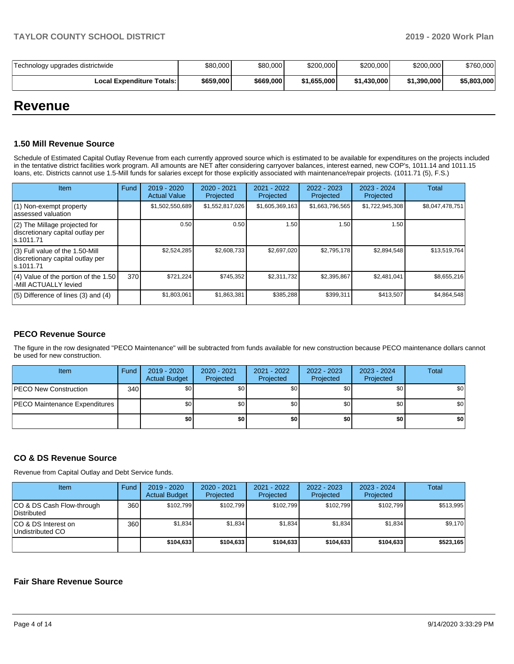| Technology upgrades districtwide   | \$80,000  | \$80,000  | \$200,000   | \$200,000   | \$200,000   | \$760,000   |
|------------------------------------|-----------|-----------|-------------|-------------|-------------|-------------|
| <b>Local Expenditure Totals: I</b> | \$659,000 | \$669,000 | \$1.655.000 | \$1,430,000 | \$1,390,000 | \$5,803,000 |

## **Revenue**

### **1.50 Mill Revenue Source**

Schedule of Estimated Capital Outlay Revenue from each currently approved source which is estimated to be available for expenditures on the projects included in the tentative district facilities work program. All amounts are NET after considering carryover balances, interest earned, new COP's, 1011.14 and 1011.15 loans, etc. Districts cannot use 1.5-Mill funds for salaries except for those explicitly associated with maintenance/repair projects. (1011.71 (5), F.S.)

| Item                                                                                | Fund | 2019 - 2020<br><b>Actual Value</b> | $2020 - 2021$<br>Projected | 2021 - 2022<br>Projected | $2022 - 2023$<br>Projected | $2023 - 2024$<br>Projected | <b>Total</b>    |
|-------------------------------------------------------------------------------------|------|------------------------------------|----------------------------|--------------------------|----------------------------|----------------------------|-----------------|
| (1) Non-exempt property<br>lassessed valuation                                      |      | \$1,502,550,689                    | \$1,552,817,026            | \$1,605,369,163          | \$1,663,796,565            | \$1,722,945,308            | \$8,047,478,751 |
| $(2)$ The Millage projected for<br>discretionary capital outlay per<br>ls.1011.71   |      | 0.50                               | 0.50                       | 1.50                     | 1.50                       | 1.50                       |                 |
| $(3)$ Full value of the 1.50-Mill<br>discretionary capital outlay per<br>ls.1011.71 |      | \$2,524,285                        | \$2,608,733                | \$2,697,020              | \$2,795,178                | \$2,894,548                | \$13,519,764    |
| (4) Value of the portion of the 1.50<br>-Mill ACTUALLY levied                       | 370  | \$721.224                          | \$745.352                  | \$2.311.732              | \$2,395,867                | \$2.481.041                | \$8,655,216     |
| $(5)$ Difference of lines $(3)$ and $(4)$                                           |      | \$1,803,061                        | \$1,863,381                | \$385,288                | \$399,311                  | \$413,507                  | \$4,864,548     |

## **PECO Revenue Source**

The figure in the row designated "PECO Maintenance" will be subtracted from funds available for new construction because PECO maintenance dollars cannot be used for new construction.

| Item                                 | Fund | 2019 - 2020<br><b>Actual Budget</b> | $2020 - 2021$<br>Projected | 2021 - 2022<br>Projected | 2022 - 2023<br>Projected | 2023 - 2024<br>Projected | <b>Total</b> |
|--------------------------------------|------|-------------------------------------|----------------------------|--------------------------|--------------------------|--------------------------|--------------|
| <b>PECO New Construction</b>         | 340  | \$0                                 | \$0 <sub>1</sub>           | \$0                      | \$0 <sub>1</sub>         | \$0                      | \$0          |
| <b>PECO Maintenance Expenditures</b> |      | \$0                                 | \$0 <sub>1</sub>           | \$0                      | \$0 <sub>1</sub>         | \$0                      | \$0          |
|                                      |      | \$0                                 | \$0                        | \$0                      | \$0                      | \$0                      | \$0          |

## **CO & DS Revenue Source**

Revenue from Capital Outlay and Debt Service funds.

| Item                                      | Fund | $2019 - 2020$<br><b>Actual Budget</b> | $2020 - 2021$<br>Projected | $2021 - 2022$<br>Projected | $2022 - 2023$<br>Projected | $2023 - 2024$<br>Projected | Total     |
|-------------------------------------------|------|---------------------------------------|----------------------------|----------------------------|----------------------------|----------------------------|-----------|
| ICO & DS Cash Flow-through<br>Distributed | 360  | \$102.799                             | \$102.799                  | \$102.799                  | \$102.799                  | \$102.799                  | \$513.995 |
| ICO & DS Interest on<br>Undistributed CO  | 360  | \$1.834                               | \$1,834                    | \$1,834                    | \$1.834                    | \$1.834                    | \$9,170   |
|                                           |      | \$104.633                             | \$104,633                  | \$104.633                  | \$104,633                  | \$104,633                  | \$523,165 |

### **Fair Share Revenue Source**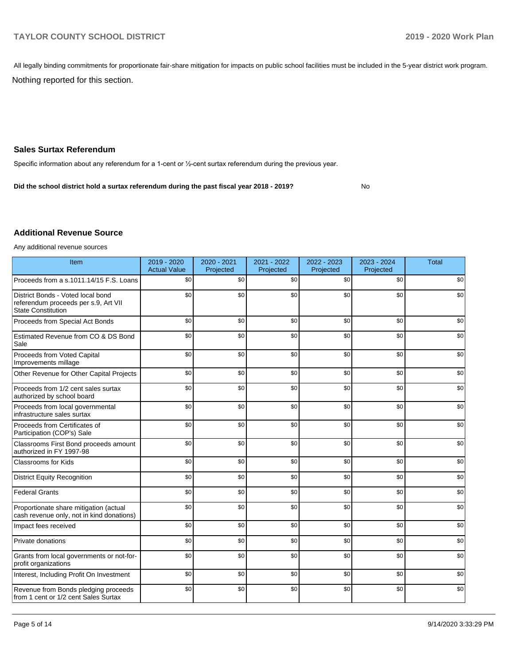All legally binding commitments for proportionate fair-share mitigation for impacts on public school facilities must be included in the 5-year district work program.

Nothing reported for this section.

## **Sales Surtax Referendum**

Specific information about any referendum for a 1-cent or ½-cent surtax referendum during the previous year.

No **Did the school district hold a surtax referendum during the past fiscal year 2018 - 2019?**

## **Additional Revenue Source**

Any additional revenue sources

| Item                                                                                                   | 2019 - 2020<br><b>Actual Value</b> | 2020 - 2021<br>Projected | 2021 - 2022<br>Projected | 2022 - 2023<br>Projected | 2023 - 2024<br>Projected | <b>Total</b> |
|--------------------------------------------------------------------------------------------------------|------------------------------------|--------------------------|--------------------------|--------------------------|--------------------------|--------------|
| Proceeds from a s.1011.14/15 F.S. Loans                                                                | \$0                                | \$0                      | \$0                      | \$0                      | \$0                      | \$0          |
| District Bonds - Voted local bond<br>referendum proceeds per s.9, Art VII<br><b>State Constitution</b> | \$0                                | \$0                      | \$0                      | \$0                      | \$0                      | \$0          |
| Proceeds from Special Act Bonds                                                                        | \$0                                | \$0                      | \$0                      | \$0                      | \$0                      | \$0          |
| Estimated Revenue from CO & DS Bond<br>Sale                                                            | \$0                                | \$0                      | \$0                      | \$0                      | \$0                      | \$0          |
| Proceeds from Voted Capital<br>Improvements millage                                                    | \$0                                | \$0                      | \$0                      | \$0                      | \$0                      | \$0          |
| Other Revenue for Other Capital Projects                                                               | \$0                                | \$0                      | \$0                      | \$0                      | \$0                      | \$0          |
| Proceeds from 1/2 cent sales surtax<br>authorized by school board                                      | \$0                                | \$0                      | \$0                      | \$0                      | \$0                      | \$0          |
| Proceeds from local governmental<br>infrastructure sales surtax                                        | \$0                                | \$0                      | \$0                      | \$0                      | \$0                      | \$0          |
| Proceeds from Certificates of<br>Participation (COP's) Sale                                            | \$0                                | \$0                      | \$0                      | \$0                      | \$0                      | \$0          |
| Classrooms First Bond proceeds amount<br>authorized in FY 1997-98                                      | \$0                                | \$0                      | \$0                      | \$0                      | \$0                      | \$0          |
| Classrooms for Kids                                                                                    | \$0                                | \$0                      | \$0                      | \$0                      | \$0                      | \$0          |
| <b>District Equity Recognition</b>                                                                     | \$0                                | \$0                      | \$0                      | \$0                      | \$0                      | \$0          |
| <b>Federal Grants</b>                                                                                  | \$0                                | \$0                      | \$0                      | \$0                      | \$0                      | \$0          |
| Proportionate share mitigation (actual<br>cash revenue only, not in kind donations)                    | \$0                                | \$0                      | \$0                      | \$0                      | \$0                      | \$0          |
| Impact fees received                                                                                   | \$0                                | \$0                      | \$0                      | \$0                      | \$0                      | \$0          |
| Private donations                                                                                      | \$0                                | \$0                      | \$0                      | \$0                      | \$0                      | \$0          |
| Grants from local governments or not-for-<br>profit organizations                                      | \$0                                | \$0                      | \$0                      | \$0                      | \$0                      | \$0          |
| Interest, Including Profit On Investment                                                               | \$0                                | \$0                      | \$0                      | \$0                      | \$0                      | \$0          |
| Revenue from Bonds pledging proceeds<br>from 1 cent or 1/2 cent Sales Surtax                           | \$0                                | \$0                      | \$0                      | \$0                      | \$0                      | \$0          |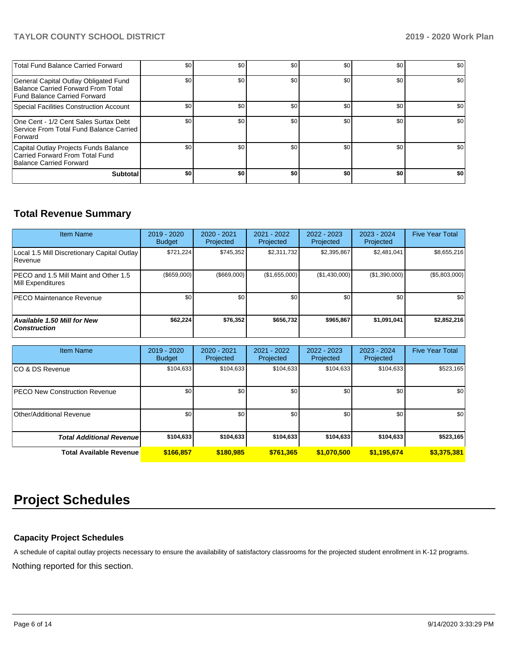## **TAYLOR COUNTY SCHOOL DISTRICT 2019 - 2020 Work Plan**

| <b>Total Fund Balance Carried Forward</b>                                                                   | \$0 | \$0 | \$0 | \$0 | \$0 | \$0 |
|-------------------------------------------------------------------------------------------------------------|-----|-----|-----|-----|-----|-----|
| General Capital Outlay Obligated Fund<br>Balance Carried Forward From Total<br>Fund Balance Carried Forward | \$0 | \$0 | \$0 | \$0 | \$0 | \$0 |
| Special Facilities Construction Account                                                                     | \$0 | \$0 | \$0 | \$0 | \$0 | \$0 |
| One Cent - 1/2 Cent Sales Surtax Debt<br>Service From Total Fund Balance Carried I<br><b>Forward</b>        | \$0 | \$0 | \$0 | \$0 | \$0 | \$0 |
| Capital Outlay Projects Funds Balance<br>Carried Forward From Total Fund<br>Balance Carried Forward         | \$0 | \$0 | \$0 | \$0 | \$0 | \$0 |
| Subtotal                                                                                                    | \$0 | \$0 | \$0 | \$0 | \$0 | \$0 |

## **Total Revenue Summary**

| <b>Item Name</b>                                                  | $2019 - 2020$<br><b>Budget</b> | 2020 - 2021<br>Projected | 2021 - 2022<br>Projected | $2022 - 2023$<br>Projected | $2023 - 2024$<br>Projected | <b>Five Year Total</b> |
|-------------------------------------------------------------------|--------------------------------|--------------------------|--------------------------|----------------------------|----------------------------|------------------------|
| Local 1.5 Mill Discretionary Capital Outlay<br>l Revenue          | \$721,224                      | \$745,352                | \$2,311,732              | \$2,395,867                | \$2,481,041                | \$8,655,216            |
| <b>PECO</b> and 1.5 Mill Maint and Other 1.5<br>Mill Expenditures | (\$659,000)                    | $($ \$669,000)           | (\$1,655,000)            | (\$1,430,000)              | (\$1,390,000)              | (\$5,803,000)          |
| <b>PECO Maintenance Revenue</b>                                   | \$0 <sub>1</sub>               | \$0                      | \$0                      | \$0                        | \$0                        | \$0                    |
| Available 1.50 Mill for New<br><b>Construction</b>                | \$62,224                       | \$76,352                 | \$656.732                | \$965,867                  | \$1,091,041                | \$2,852,216            |

| <b>Item Name</b>                     | 2019 - 2020<br><b>Budget</b> | 2020 - 2021<br>Projected | 2021 - 2022<br>Projected | $2022 - 2023$<br>Projected | $2023 - 2024$<br>Projected | <b>Five Year Total</b> |
|--------------------------------------|------------------------------|--------------------------|--------------------------|----------------------------|----------------------------|------------------------|
| ICO & DS Revenue                     | \$104,633                    | \$104,633                | \$104,633                | \$104,633                  | \$104,633                  | \$523,165              |
| <b>PECO New Construction Revenue</b> | \$0                          | \$0                      | \$0                      | \$0                        | \$0                        | \$0                    |
| Other/Additional Revenue             | \$0                          | \$0                      | \$0                      | \$0                        | \$0                        | \$0                    |
| <b>Total Additional Revenue</b>      | \$104,633                    | \$104,633                | \$104,633                | \$104,633                  | \$104,633                  | \$523,165              |
| <b>Total Available Revenue</b>       | \$166,857                    | \$180,985                | \$761,365                | \$1,070,500                | \$1,195,674                | \$3,375,381            |

# **Project Schedules**

## **Capacity Project Schedules**

Nothing reported for this section. A schedule of capital outlay projects necessary to ensure the availability of satisfactory classrooms for the projected student enrollment in K-12 programs.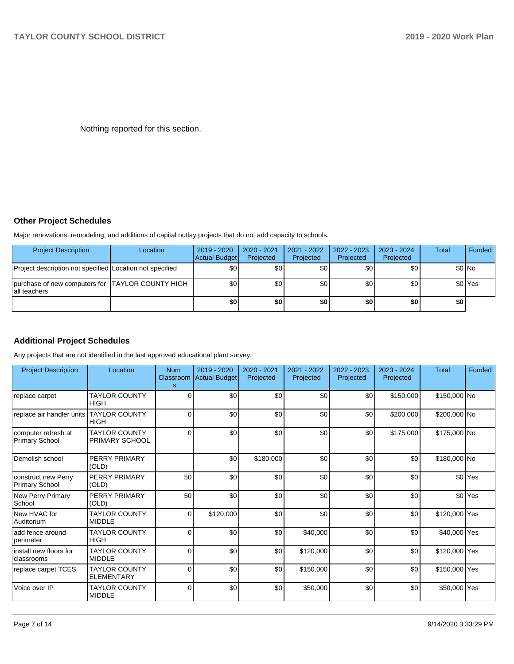Nothing reported for this section.

## **Other Project Schedules**

Major renovations, remodeling, and additions of capital outlay projects that do not add capacity to schools.

| <b>Project Description</b>                                        | Location | 2019 - 2020<br>Actual Budget | 2020 - 2021<br>Projected | $2021 - 2022$<br>Projected | 2022 - 2023<br>Projected | $2023 - 2024$<br>Projected | <b>Total</b> | Funded             |
|-------------------------------------------------------------------|----------|------------------------------|--------------------------|----------------------------|--------------------------|----------------------------|--------------|--------------------|
| Project description not specified Location not specified          |          | \$0                          | ا 30                     | \$0                        | \$0 <sub>1</sub>         | \$0                        |              | \$0 No             |
| purchase of new computers for TAYLOR COUNTY HIGH<br>lall teachers |          | \$0                          | \$0                      | \$0                        | \$0 <sub>1</sub>         | \$0                        |              | \$0 <sup>Yes</sup> |
|                                                                   |          | \$0                          | \$0                      | \$0                        | \$0                      | \$0                        | \$0          |                    |

## **Additional Project Schedules**

Any projects that are not identified in the last approved educational plant survey.

| <b>Project Description</b>                   | Location                                  | <b>Num</b><br>s | 2019 - 2020<br>Classroom Actual Budget | 2020 - 2021<br>Projected | 2021 - 2022<br>Projected | 2022 - 2023<br>Projected | 2023 - 2024<br>Projected | <b>Total</b>  | <b>Funded</b>      |
|----------------------------------------------|-------------------------------------------|-----------------|----------------------------------------|--------------------------|--------------------------|--------------------------|--------------------------|---------------|--------------------|
| replace carpet                               | <b>TAYLOR COUNTY</b><br><b>HIGH</b>       | $\Omega$        | \$0                                    | \$0                      | \$0                      | \$0                      | \$150,000                | \$150,000 No  |                    |
| replace air handler units TAYLOR COUNTY      | <b>HIGH</b>                               | $\Omega$        | \$0                                    | \$0                      | \$0                      | \$0 <sub>1</sub>         | \$200,000                | \$200,000 No  |                    |
| computer refresh at<br><b>Primary School</b> | <b>TAYLOR COUNTY</b><br>PRIMARY SCHOOL    | $\Omega$        | \$0                                    | \$0                      | \$0                      | \$0                      | \$175,000                | \$175,000 No  |                    |
| Demolish school                              | PERRY PRIMARY<br>(OLD)                    |                 | \$0                                    | \$180,000                | \$0                      | \$0                      | \$0                      | \$180,000 No  |                    |
| construct new Perry<br><b>Primary School</b> | PERRY PRIMARY<br>(OLD)                    | 50              | \$0                                    | \$0                      | \$0                      | \$0                      | \$0                      |               | \$0 Yes            |
| New Perry Primary<br>School                  | PERRY PRIMARY<br>(OLD)                    | 50              | \$0                                    | \$0                      | \$0                      | \$0                      | \$0                      |               | \$0 <sup>Yes</sup> |
| New HVAC for<br>Auditorium                   | <b>TAYLOR COUNTY</b><br><b>MIDDLE</b>     | $\Omega$        | \$120,000                              | \$0                      | \$0                      | \$0                      | \$0                      | \$120,000 Yes |                    |
| add fence around<br> perimeter               | <b>TAYLOR COUNTY</b><br><b>HIGH</b>       | $\Omega$        | \$0                                    | \$0                      | \$40,000                 | \$0                      | \$0                      | \$40,000 Yes  |                    |
| linstall new floors for<br>classrooms        | <b>TAYLOR COUNTY</b><br><b>MIDDLE</b>     | $\Omega$        | \$0                                    | \$0                      | \$120,000                | \$0                      | \$0                      | \$120,000 Yes |                    |
| replace carpet TCES                          | <b>TAYLOR COUNTY</b><br><b>ELEMENTARY</b> | $\Omega$        | \$0                                    | \$0                      | \$150,000                | \$0                      | \$0                      | \$150,000 Yes |                    |
| Voice over IP                                | <b>TAYLOR COUNTY</b><br><b>MIDDLE</b>     | $\Omega$        | \$0                                    | \$0                      | \$50,000                 | \$0                      | \$0                      | \$50,000 Yes  |                    |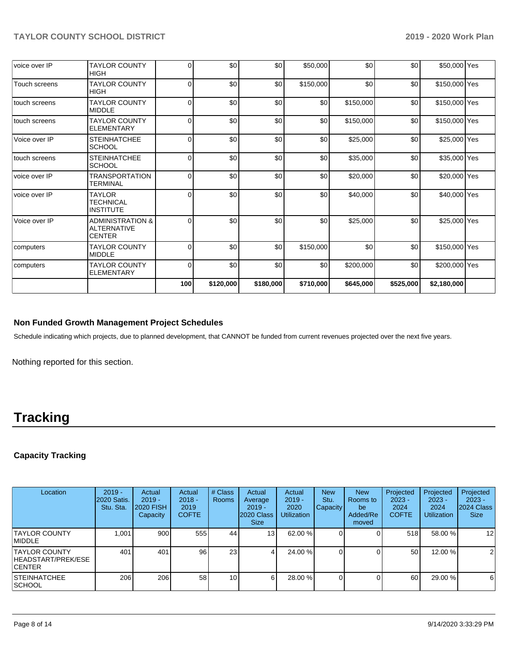| voice over IP | <b>TAYLOR COUNTY</b><br><b>HIGH</b>                         | $\Omega$ | \$0       | \$0       | \$50,000  | \$0       | \$0       | \$50,000 Yes  |  |
|---------------|-------------------------------------------------------------|----------|-----------|-----------|-----------|-----------|-----------|---------------|--|
| Touch screens | <b>TAYLOR COUNTY</b><br><b>HIGH</b>                         | $\Omega$ | \$0       | \$0       | \$150,000 | \$0       | \$0       | \$150,000 Yes |  |
| touch screens | <b>TAYLOR COUNTY</b><br><b>MIDDLE</b>                       | $\Omega$ | \$0       | \$0       | \$0       | \$150,000 | \$0       | \$150,000 Yes |  |
| touch screens | <b>TAYLOR COUNTY</b><br><b>ELEMENTARY</b>                   | $\Omega$ | \$0       | \$0       | \$0       | \$150,000 | \$0       | \$150,000 Yes |  |
| Voice over IP | <b>STEINHATCHEE</b><br><b>SCHOOL</b>                        | $\Omega$ | \$0       | \$0       | \$0       | \$25,000  | \$0       | \$25,000 Yes  |  |
| touch screens | <b>STEINHATCHEE</b><br><b>SCHOOL</b>                        | $\Omega$ | \$0       | \$0       | \$0       | \$35,000  | \$0       | \$35,000 Yes  |  |
| voice over IP | TRANSPORTATION<br>TERMINAL                                  | $\Omega$ | \$0       | \$0       | \$0       | \$20,000  | \$0       | \$20,000 Yes  |  |
| voice over IP | <b>TAYLOR</b><br><b>TECHNICAL</b><br><b>INSTITUTE</b>       | $\Omega$ | \$0       | \$0       | \$0       | \$40,000  | \$0       | \$40,000 Yes  |  |
| Voice over IP | <b>ADMINISTRATION &amp;</b><br><b>ALTERNATIVE</b><br>CENTER | 0        | \$0       | \$0       | \$0       | \$25,000  | \$0       | \$25,000 Yes  |  |
| computers     | <b>TAYLOR COUNTY</b><br><b>MIDDLE</b>                       | $\Omega$ | \$0       | \$0       | \$150,000 | \$0       | \$0       | \$150,000 Yes |  |
| computers     | <b>TAYLOR COUNTY</b><br><b>ELEMENTARY</b>                   | $\Omega$ | \$0       | \$0       | \$0       | \$200,000 | \$0       | \$200,000 Yes |  |
|               |                                                             | 100      | \$120,000 | \$180,000 | \$710,000 | \$645,000 | \$525,000 | \$2,180,000   |  |

## **Non Funded Growth Management Project Schedules**

Schedule indicating which projects, due to planned development, that CANNOT be funded from current revenues projected over the next five years.

Nothing reported for this section.

# **Tracking**

## **Capacity Tracking**

| Location                                               | $2019 -$<br><b>2020 Satis.</b><br>Stu. Sta. | Actual<br>$2019 -$<br>2020 FISH<br>Capacity | Actual<br>$2018 -$<br>2019<br><b>COFTE</b> | # Class<br><b>Rooms</b> | Actual<br>Average<br>$2019 -$<br>2020 Class<br><b>Size</b> | Actual<br>$2019 -$<br>2020<br><b>Utilization</b> | <b>New</b><br>Stu.<br><b>Capacity</b> | <b>New</b><br>Rooms to<br>be<br>Added/Re<br>moved | Projected<br>$2023 -$<br>2024<br><b>COFTE</b> | Projected<br>$2023 -$<br>2024<br><b>Utilization</b> | Projected<br>$2023 -$<br>2024 Class<br><b>Size</b> |
|--------------------------------------------------------|---------------------------------------------|---------------------------------------------|--------------------------------------------|-------------------------|------------------------------------------------------------|--------------------------------------------------|---------------------------------------|---------------------------------------------------|-----------------------------------------------|-----------------------------------------------------|----------------------------------------------------|
| <b>TAYLOR COUNTY</b><br><b>IMIDDLE</b>                 | 1.001                                       | 900                                         | 555                                        | 44                      | 13 <sub>l</sub>                                            | 62.00 %                                          |                                       |                                                   | 518                                           | 58.00 %                                             | 12                                                 |
| ITAYLOR COUNTY<br>HEADSTART/PREK/ESE<br><b>ICENTER</b> | 401                                         | 401                                         | 96                                         | 23                      | 4                                                          | 24.00 %                                          |                                       |                                                   | 50                                            | 12.00 %                                             | 2                                                  |
| <b>ISTEINHATCHEE</b><br> SCHOOL                        | 206                                         | 206                                         | 58                                         | 10 <sup>1</sup>         | 61                                                         | 28.00 %                                          |                                       |                                                   | 60                                            | 29.00 %                                             | 6                                                  |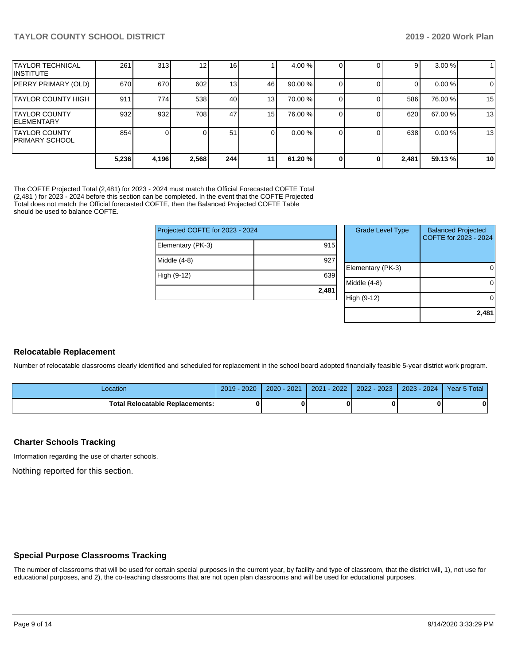|                                                 | 5,236 | 4,196 | 2,568 | 244             | 11 | 61.20%  |  | 2,481 | 59.13 % | 10          |
|-------------------------------------------------|-------|-------|-------|-----------------|----|---------|--|-------|---------|-------------|
| <b>ITAYLOR COUNTY</b><br><b>IPRIMARY SCHOOL</b> | 854   |       |       | 51              |    | 0.00%   |  | 638   | 0.00%   | 13          |
| <b>TAYLOR COUNTY</b><br><b>IELEMENTARY</b>      | 932   | 932   | 708   | 47              | 15 | 76.00 % |  | 620   | 67.00 % | 13          |
| <b>TAYLOR COUNTY HIGH</b>                       | 911   | 774   | 538   | 40              | 13 | 70.00 % |  | 586   | 76.00 % | 15          |
| PERRY PRIMARY (OLD)                             | 670   | 670   | 602   | 13 <sub>l</sub> | 46 | 90.00 % |  |       | 0.00 %  | $\mathbf 0$ |
| <b>TAYLOR TECHNICAL</b><br>IINSTITUTE           | 261   | 313   | 12    | 16 <sub>l</sub> |    | 4.00 %  |  | 9     | 3.00%   |             |

The COFTE Projected Total (2,481) for 2023 - 2024 must match the Official Forecasted COFTE Total (2,481 ) for 2023 - 2024 before this section can be completed. In the event that the COFTE Projected Total does not match the Official forecasted COFTE, then the Balanced Projected COFTE Table should be used to balance COFTE.

| Projected COFTE for 2023 - 2024 |       | <b>Grade Level Type</b> | <b>Balanced Projected</b><br>COFTE for 2023 - 2024 |
|---------------------------------|-------|-------------------------|----------------------------------------------------|
| Elementary (PK-3)               | 915   |                         |                                                    |
| Middle (4-8)                    | 927   |                         |                                                    |
|                                 |       | Elementary (PK-3)       |                                                    |
| High (9-12)                     | 639   |                         |                                                    |
|                                 |       | Middle (4-8)            |                                                    |
|                                 | 2,481 |                         |                                                    |
|                                 |       | High (9-12)             | ∩                                                  |
|                                 |       |                         |                                                    |

#### **Relocatable Replacement**

Number of relocatable classrooms clearly identified and scheduled for replacement in the school board adopted financially feasible 5-year district work program.

| Location                          | 2020<br>2019 | $-2021$<br>$2020 -$ | $-2022$<br>2021 | $2022 - 2023$ | $-2024$<br>$2023 -$ | Year 5 Total |
|-----------------------------------|--------------|---------------------|-----------------|---------------|---------------------|--------------|
| Total Relocatable Replacements: I | 0            |                     |                 |               |                     | ◠            |

#### **Charter Schools Tracking**

Information regarding the use of charter schools.

Nothing reported for this section.

#### **Special Purpose Classrooms Tracking**

The number of classrooms that will be used for certain special purposes in the current year, by facility and type of classroom, that the district will, 1), not use for educational purposes, and 2), the co-teaching classrooms that are not open plan classrooms and will be used for educational purposes.

**2,481**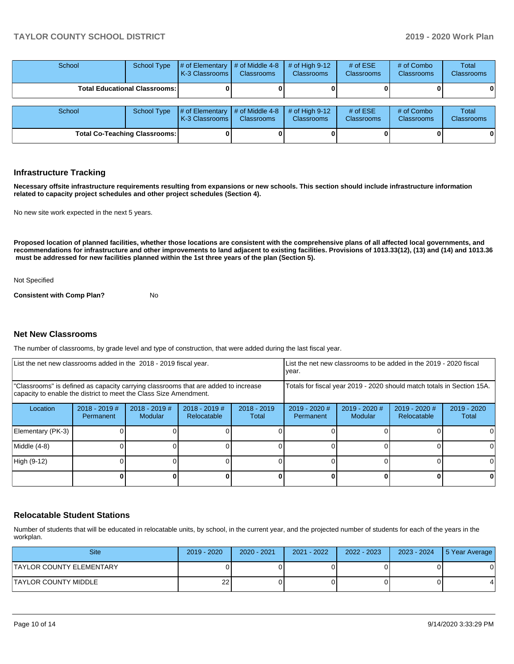## **TAYLOR COUNTY SCHOOL DISTRICT 2019 - 2020 Work Plan**

| School                               | <b>School Type</b>                   | $\#$ of Elementary $\#$ of Middle 4-8<br>K-3 Classrooms I | <b>Classrooms</b> | $#$ of High 9-12<br><b>Classrooms</b> | # of $ESE$<br><b>Classrooms</b> | # of Combo<br><b>Classrooms</b> | Total<br><b>Classrooms</b> |
|--------------------------------------|--------------------------------------|-----------------------------------------------------------|-------------------|---------------------------------------|---------------------------------|---------------------------------|----------------------------|
|                                      | <b>Total Educational Classrooms:</b> |                                                           |                   |                                       |                                 |                                 |                            |
|                                      |                                      |                                                           |                   |                                       |                                 |                                 |                            |
| School                               | <b>School Type</b>                   | $\#$ of Elementary # of Middle 4-8<br>K-3 Classrooms I    | Classrooms        | # of High $9-12$<br><b>Classrooms</b> | # of $ESE$<br>Classrooms        | # of Combo<br><b>Classrooms</b> | Total<br><b>Classrooms</b> |
| <b>Total Co-Teaching Classrooms:</b> |                                      |                                                           |                   |                                       |                                 |                                 |                            |

#### **Infrastructure Tracking**

**Necessary offsite infrastructure requirements resulting from expansions or new schools. This section should include infrastructure information related to capacity project schedules and other project schedules (Section 4).** 

No new site work expected in the next 5 years.

**Proposed location of planned facilities, whether those locations are consistent with the comprehensive plans of all affected local governments, and recommendations for infrastructure and other improvements to land adjacent to existing facilities. Provisions of 1013.33(12), (13) and (14) and 1013.36 must be addressed for new facilities planned within the 1st three years of the plan (Section 5).** 

#### Not Specified

**Consistent with Comp Plan?** No

#### **Net New Classrooms**

The number of classrooms, by grade level and type of construction, that were added during the last fiscal year.

|                                                                                                                                                         | List the net new classrooms added in the 2018 - 2019 fiscal year.<br>List the net new classrooms to be added in the 2019 - 2020 fiscal<br>year. |  |                                                                        |  |  |                            |                              |                        |
|---------------------------------------------------------------------------------------------------------------------------------------------------------|-------------------------------------------------------------------------------------------------------------------------------------------------|--|------------------------------------------------------------------------|--|--|----------------------------|------------------------------|------------------------|
| "Classrooms" is defined as capacity carrying classrooms that are added to increase<br>capacity to enable the district to meet the Class Size Amendment. |                                                                                                                                                 |  | Totals for fiscal year 2019 - 2020 should match totals in Section 15A. |  |  |                            |                              |                        |
| Location                                                                                                                                                | $2018 - 2019$ #<br>$2018 - 2019$ #<br>$2018 - 2019$<br>$2018 - 2019$ #<br><b>Modular</b><br>Relocatable<br><b>Permanent</b><br>Total            |  |                                                                        |  |  | $2019 - 2020$ #<br>Modular | 2019 - 2020 #<br>Relocatable | $2019 - 2020$<br>Total |
| Elementary (PK-3)                                                                                                                                       |                                                                                                                                                 |  |                                                                        |  |  |                            |                              | $\Omega$               |
| Middle (4-8)                                                                                                                                            |                                                                                                                                                 |  |                                                                        |  |  |                            |                              | $\Omega$               |
| High (9-12)                                                                                                                                             |                                                                                                                                                 |  |                                                                        |  |  |                            |                              | 0                      |
|                                                                                                                                                         |                                                                                                                                                 |  |                                                                        |  |  |                            |                              | 0                      |

#### **Relocatable Student Stations**

Number of students that will be educated in relocatable units, by school, in the current year, and the projected number of students for each of the years in the workplan.

| <b>Site</b>               | $2019 - 2020$ | $2020 - 2021$ | $2021 - 2022$ | $2022 - 2023$ | 2023 - 2024 | 5 Year Average |
|---------------------------|---------------|---------------|---------------|---------------|-------------|----------------|
| ITAYLOR COUNTY ELEMENTARY |               |               |               |               |             |                |
| ITAYLOR COUNTY MIDDLE     | 22            |               |               |               |             |                |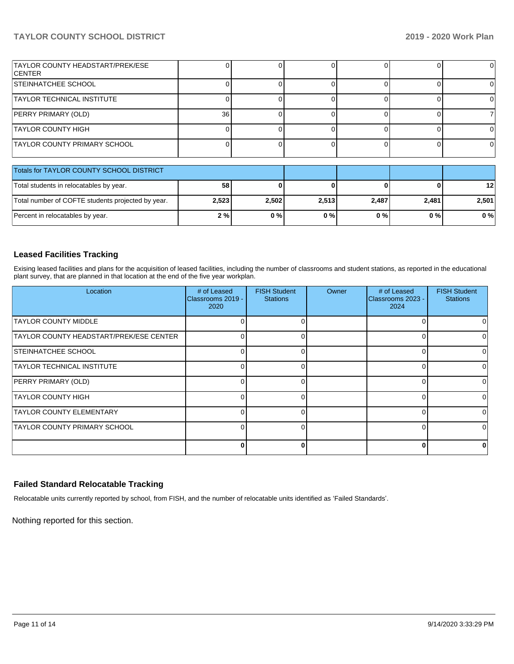## **TAYLOR COUNTY SCHOOL DISTRICT 2019 - 2020 Work Plan**

| TAYLOR COUNTY HEADSTART/PREK/ESE<br><b>ICENTER</b> |       |       |       |              |       | $\Omega$ |
|----------------------------------------------------|-------|-------|-------|--------------|-------|----------|
| <b>STEINHATCHEE SCHOOL</b>                         |       |       |       |              |       | 0        |
| <b>TAYLOR TECHNICAL INSTITUTE</b>                  |       |       |       |              |       | 0        |
| PERRY PRIMARY (OLD)                                | 36    |       |       | <sup>0</sup> |       | 7        |
| <b>TAYLOR COUNTY HIGH</b>                          |       |       |       |              |       | 0        |
| <b>TAYLOR COUNTY PRIMARY SCHOOL</b>                |       |       |       |              |       | ΩI       |
| Totals for TAYLOR COUNTY SCHOOL DISTRICT           |       |       |       |              |       |          |
| Total students in relocatables by year.            | 58    |       |       |              |       | 12       |
| Total number of COFTE students projected by year.  | 2,523 | 2,502 | 2,513 | 2,487        | 2,481 | 2,501    |
| Percent in relocatables by year.                   | 2%    | 0%    | 0%    | 0%           | $0\%$ | $0\%$    |

## **Leased Facilities Tracking**

Exising leased facilities and plans for the acquisition of leased facilities, including the number of classrooms and student stations, as reported in the educational plant survey, that are planned in that location at the end of the five year workplan.

| Location                                | # of Leased<br>Classrooms 2019 -<br>2020 | <b>FISH Student</b><br><b>Stations</b> | <b>Owner</b> | # of Leased<br>Classrooms 2023 -<br>2024 | <b>FISH Student</b><br><b>Stations</b> |
|-----------------------------------------|------------------------------------------|----------------------------------------|--------------|------------------------------------------|----------------------------------------|
| <b>TAYLOR COUNTY MIDDLE</b>             |                                          |                                        |              |                                          |                                        |
| TAYLOR COUNTY HEADSTART/PREK/ESE CENTER | $\Omega$                                 |                                        |              |                                          | 0                                      |
| <b>STEINHATCHEE SCHOOL</b>              | O                                        |                                        |              |                                          | $\Omega$                               |
| TAYLOR TECHNICAL INSTITUTE              | 0                                        |                                        |              |                                          | 0                                      |
| <b>PERRY PRIMARY (OLD)</b>              | 0                                        |                                        |              |                                          | $\Omega$                               |
| <b>TAYLOR COUNTY HIGH</b>               | O                                        |                                        |              |                                          | <sup>0</sup>                           |
| <b>TAYLOR COUNTY ELEMENTARY</b>         | $\Omega$                                 |                                        |              |                                          | 0                                      |
| <b>TAYLOR COUNTY PRIMARY SCHOOL</b>     | O                                        |                                        |              |                                          | ΩI                                     |
|                                         | 0                                        |                                        |              |                                          | n                                      |

## **Failed Standard Relocatable Tracking**

Relocatable units currently reported by school, from FISH, and the number of relocatable units identified as 'Failed Standards'.

Nothing reported for this section.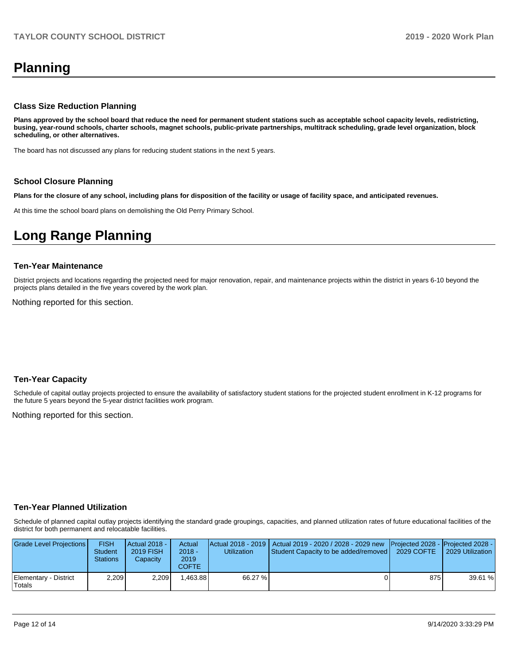# **Planning**

#### **Class Size Reduction Planning**

**Plans approved by the school board that reduce the need for permanent student stations such as acceptable school capacity levels, redistricting, busing, year-round schools, charter schools, magnet schools, public-private partnerships, multitrack scheduling, grade level organization, block scheduling, or other alternatives.**

The board has not discussed any plans for reducing student stations in the next 5 years.

#### **School Closure Planning**

**Plans for the closure of any school, including plans for disposition of the facility or usage of facility space, and anticipated revenues.** 

At this time the school board plans on demolishing the Old Perry Primary School.

## **Long Range Planning**

#### **Ten-Year Maintenance**

District projects and locations regarding the projected need for major renovation, repair, and maintenance projects within the district in years 6-10 beyond the projects plans detailed in the five years covered by the work plan.

Nothing reported for this section.

#### **Ten-Year Capacity**

Schedule of capital outlay projects projected to ensure the availability of satisfactory student stations for the projected student enrollment in K-12 programs for the future 5 years beyond the 5-year district facilities work program.

Nothing reported for this section.

#### **Ten-Year Planned Utilization**

Schedule of planned capital outlay projects identifying the standard grade groupings, capacities, and planned utilization rates of future educational facilities of the district for both permanent and relocatable facilities.

| Grade Level Projections         | <b>FISH</b><br><b>Student</b><br><b>Stations</b> | <b>Actual 2018 -</b><br>2019 FISH<br>Capacity | Actual<br>$2018 -$<br>2019<br>COFTE | Utilization | Actual 2018 - 2019   Actual 2019 - 2020 / 2028 - 2029 new   Projected 2028 -   Projected 2028 -<br>Student Capacity to be added/removed | 2029 COFTE | 2029 Utilization |
|---------------------------------|--------------------------------------------------|-----------------------------------------------|-------------------------------------|-------------|-----------------------------------------------------------------------------------------------------------------------------------------|------------|------------------|
| Elementary - District<br>Totals | 2,209                                            | 2.209                                         | .463.88                             | 66.27 %     |                                                                                                                                         | 875 I      | 39.61 %          |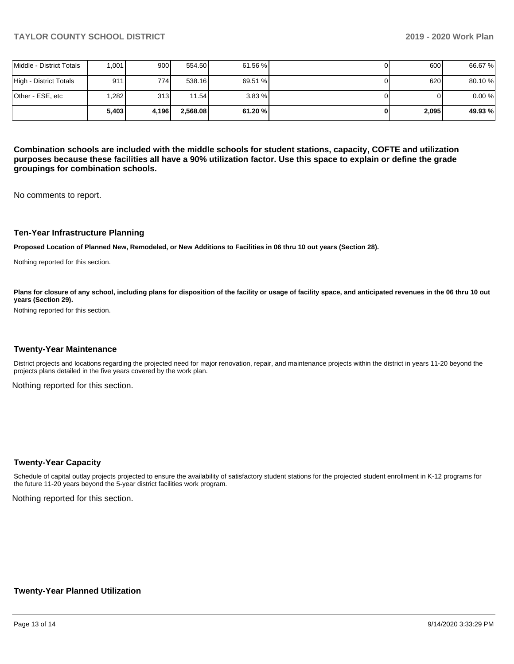|                          | 5.403 | 4.196 | 2.568.08 | 61.20 % | 2,095 | 49.93%  |
|--------------------------|-------|-------|----------|---------|-------|---------|
| lOther - ESE. etc        | .282  | 313   | 11.54    | 3.83%   |       | 0.00%   |
| High - District Totals   | 9111  | 774 I | 538.16   | 69.51 % | 620   | 80.10%  |
| Middle - District Totals | 1.001 | 900   | 554.50   | 61.56 % | 600   | 66.67 % |

**Combination schools are included with the middle schools for student stations, capacity, COFTE and utilization purposes because these facilities all have a 90% utilization factor. Use this space to explain or define the grade groupings for combination schools.** 

No comments to report.

#### **Ten-Year Infrastructure Planning**

**Proposed Location of Planned New, Remodeled, or New Additions to Facilities in 06 thru 10 out years (Section 28).**

Nothing reported for this section.

Plans for closure of any school, including plans for disposition of the facility or usage of facility space, and anticipated revenues in the 06 thru 10 out **years (Section 29).**

Nothing reported for this section.

#### **Twenty-Year Maintenance**

District projects and locations regarding the projected need for major renovation, repair, and maintenance projects within the district in years 11-20 beyond the projects plans detailed in the five years covered by the work plan.

Nothing reported for this section.

#### **Twenty-Year Capacity**

Schedule of capital outlay projects projected to ensure the availability of satisfactory student stations for the projected student enrollment in K-12 programs for the future 11-20 years beyond the 5-year district facilities work program.

Nothing reported for this section.

#### **Twenty-Year Planned Utilization**